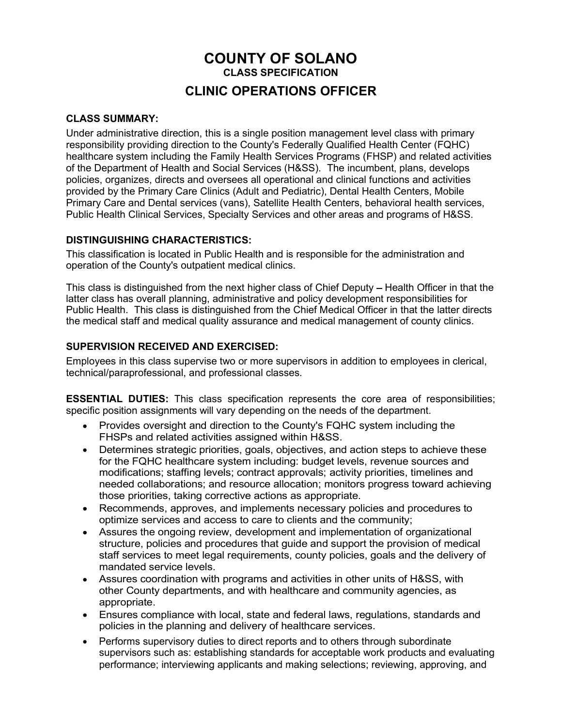# COUNTY OF SOLANO CLASS SPECIFICATION CLINIC OPERATIONS OFFICER

#### CLASS SUMMARY:

Under administrative direction, this is a single position management level class with primary responsibility providing direction to the County's Federally Qualified Health Center (FQHC) healthcare system including the Family Health Services Programs (FHSP) and related activities of the Department of Health and Social Services (H&SS). The incumbent, plans, develops policies, organizes, directs and oversees all operational and clinical functions and activities provided by the Primary Care Clinics (Adult and Pediatric), Dental Health Centers, Mobile Primary Care and Dental services (vans), Satellite Health Centers, behavioral health services, Public Health Clinical Services, Specialty Services and other areas and programs of H&SS.

### DISTINGUISHING CHARACTERISTICS:

This classification is located in Public Health and is responsible for the administration and operation of the County's outpatient medical clinics.

This class is distinguished from the next higher class of Chief Deputy – Health Officer in that the latter class has overall planning, administrative and policy development responsibilities for Public Health. This class is distinguished from the Chief Medical Officer in that the latter directs the medical staff and medical quality assurance and medical management of county clinics.

#### SUPERVISION RECEIVED AND EXERCISED:

Employees in this class supervise two or more supervisors in addition to employees in clerical, technical/paraprofessional, and professional classes.

ESSENTIAL DUTIES: This class specification represents the core area of responsibilities; specific position assignments will vary depending on the needs of the department.

- Provides oversight and direction to the County's FQHC system including the FHSPs and related activities assigned within H&SS.
- Determines strategic priorities, goals, objectives, and action steps to achieve these for the FQHC healthcare system including: budget levels, revenue sources and modifications; staffing levels; contract approvals; activity priorities, timelines and needed collaborations; and resource allocation; monitors progress toward achieving those priorities, taking corrective actions as appropriate.
- Recommends, approves, and implements necessary policies and procedures to optimize services and access to care to clients and the community;
- Assures the ongoing review, development and implementation of organizational structure, policies and procedures that guide and support the provision of medical staff services to meet legal requirements, county policies, goals and the delivery of mandated service levels.
- Assures coordination with programs and activities in other units of H&SS, with other County departments, and with healthcare and community agencies, as appropriate.
- Ensures compliance with local, state and federal laws, regulations, standards and policies in the planning and delivery of healthcare services.
- Performs supervisory duties to direct reports and to others through subordinate supervisors such as: establishing standards for acceptable work products and evaluating performance; interviewing applicants and making selections; reviewing, approving, and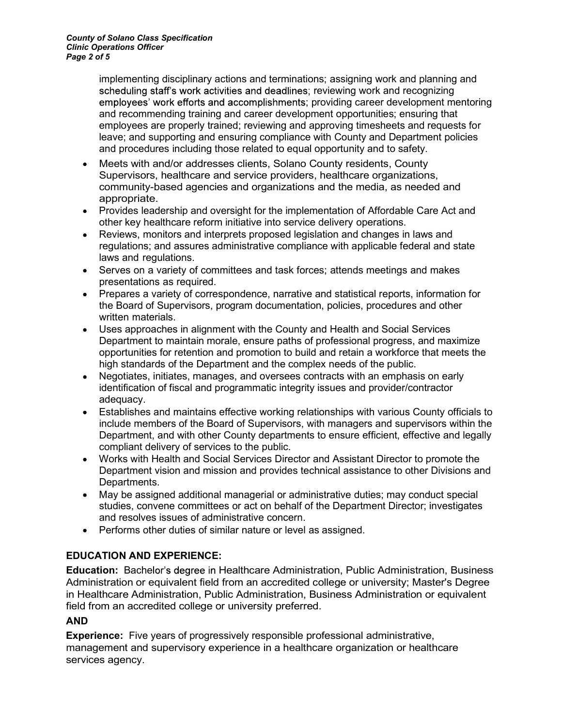implementing disciplinary actions and terminations; assigning work and planning and scheduling staff's work activities and deadlines; reviewing work and recognizing employees' work efforts and accomplishments; providing career development mentoring and recommending training and career development opportunities; ensuring that employees are properly trained; reviewing and approving timesheets and requests for leave; and supporting and ensuring compliance with County and Department policies and procedures including those related to equal opportunity and to safety.

- Meets with and/or addresses clients, Solano County residents, County Supervisors, healthcare and service providers, healthcare organizations, community-based agencies and organizations and the media, as needed and appropriate.
- Provides leadership and oversight for the implementation of Affordable Care Act and other key healthcare reform initiative into service delivery operations.
- Reviews, monitors and interprets proposed legislation and changes in laws and regulations; and assures administrative compliance with applicable federal and state laws and regulations.
- Serves on a variety of committees and task forces; attends meetings and makes presentations as required.
- Prepares a variety of correspondence, narrative and statistical reports, information for the Board of Supervisors, program documentation, policies, procedures and other written materials.
- Uses approaches in alignment with the County and Health and Social Services Department to maintain morale, ensure paths of professional progress, and maximize opportunities for retention and promotion to build and retain a workforce that meets the high standards of the Department and the complex needs of the public.
- Negotiates, initiates, manages, and oversees contracts with an emphasis on early identification of fiscal and programmatic integrity issues and provider/contractor adequacy.
- Establishes and maintains effective working relationships with various County officials to include members of the Board of Supervisors, with managers and supervisors within the Department, and with other County departments to ensure efficient, effective and legally compliant delivery of services to the public.
- Works with Health and Social Services Director and Assistant Director to promote the Department vision and mission and provides technical assistance to other Divisions and Departments.
- May be assigned additional managerial or administrative duties; may conduct special studies, convene committees or act on behalf of the Department Director; investigates and resolves issues of administrative concern.
- Performs other duties of similar nature or level as assigned.

### EDUCATION AND EXPERIENCE:

Education: Bachelor's degree in Healthcare Administration, Public Administration, Business Administration or equivalent field from an accredited college or university; Master's Degree in Healthcare Administration, Public Administration, Business Administration or equivalent field from an accredited college or university preferred.

### AND

Experience: Five years of progressively responsible professional administrative, management and supervisory experience in a healthcare organization or healthcare services agency.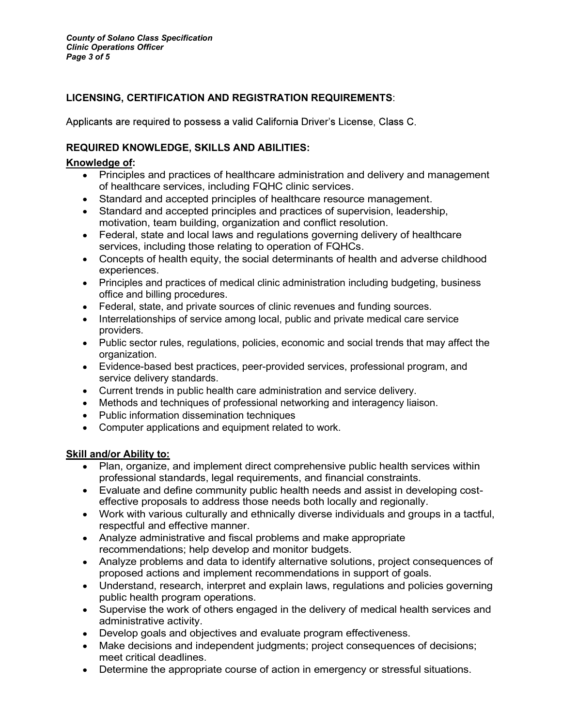# LICENSING, CERTIFICATION AND REGISTRATION REQUIREMENTS:

Applicants are required to possess a valid California Driver's License, Class C.

## REQUIRED KNOWLEDGE, SKILLS AND ABILITIES:

### Knowledge of:

- Principles and practices of healthcare administration and delivery and management of healthcare services, including FQHC clinic services.
- Standard and accepted principles of healthcare resource management.
- Standard and accepted principles and practices of supervision, leadership, motivation, team building, organization and conflict resolution.
- Federal, state and local laws and regulations governing delivery of healthcare services, including those relating to operation of FQHCs.
- Concepts of health equity, the social determinants of health and adverse childhood experiences.
- Principles and practices of medical clinic administration including budgeting, business office and billing procedures.
- Federal, state, and private sources of clinic revenues and funding sources.
- Interrelationships of service among local, public and private medical care service providers.
- Public sector rules, regulations, policies, economic and social trends that may affect the organization.
- Evidence-based best practices, peer-provided services, professional program, and service delivery standards.
- Current trends in public health care administration and service delivery.
- Methods and techniques of professional networking and interagency liaison.
- Public information dissemination techniques
- Computer applications and equipment related to work.

### Skill and/or Ability to:

- Plan, organize, and implement direct comprehensive public health services within professional standards, legal requirements, and financial constraints.
- Evaluate and define community public health needs and assist in developing costeffective proposals to address those needs both locally and regionally.
- Work with various culturally and ethnically diverse individuals and groups in a tactful, respectful and effective manner.
- Analyze administrative and fiscal problems and make appropriate recommendations; help develop and monitor budgets.
- Analyze problems and data to identify alternative solutions, project consequences of proposed actions and implement recommendations in support of goals.
- Understand, research, interpret and explain laws, regulations and policies governing public health program operations.
- Supervise the work of others engaged in the delivery of medical health services and administrative activity.
- Develop goals and objectives and evaluate program effectiveness.
- Make decisions and independent judgments; project consequences of decisions; meet critical deadlines.
- Determine the appropriate course of action in emergency or stressful situations.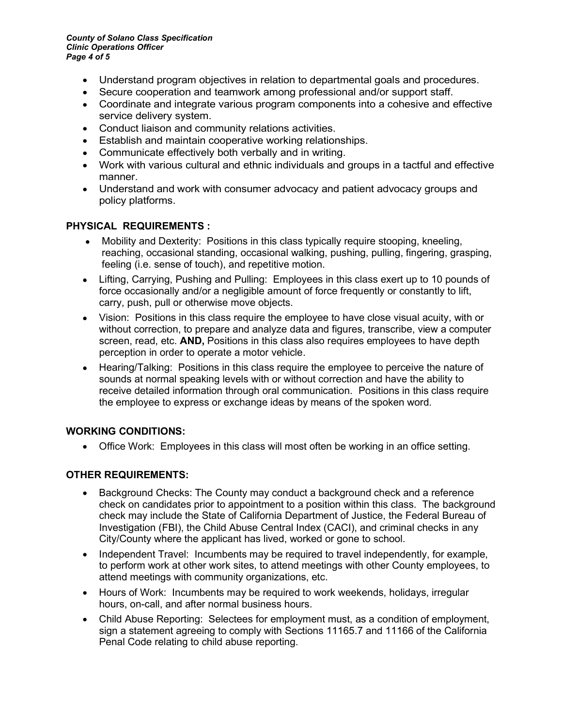County of Solano Class Specification Clinic Operations Officer Page 4 of 5

- Understand program objectives in relation to departmental goals and procedures.
- Secure cooperation and teamwork among professional and/or support staff.
- Coordinate and integrate various program components into a cohesive and effective service delivery system.
- Conduct liaison and community relations activities.
- Establish and maintain cooperative working relationships.
- Communicate effectively both verbally and in writing.
- Work with various cultural and ethnic individuals and groups in a tactful and effective manner.
- Understand and work with consumer advocacy and patient advocacy groups and policy platforms.

#### PHYSICAL REQUIREMENTS :

- Mobility and Dexterity: Positions in this class typically require stooping, kneeling, reaching, occasional standing, occasional walking, pushing, pulling, fingering, grasping, feeling (i.e. sense of touch), and repetitive motion.
- Lifting, Carrying, Pushing and Pulling: Employees in this class exert up to 10 pounds of force occasionally and/or a negligible amount of force frequently or constantly to lift, carry, push, pull or otherwise move objects.
- Vision: Positions in this class require the employee to have close visual acuity, with or without correction, to prepare and analyze data and figures, transcribe, view a computer screen, read, etc. **AND,** Positions in this class also requires employees to have depth perception in order to operate a motor vehicle.
- Hearing/Talking: Positions in this class require the employee to perceive the nature of sounds at normal speaking levels with or without correction and have the ability to receive detailed information through oral communication. Positions in this class require the employee to express or exchange ideas by means of the spoken word.

### WORKING CONDITIONS:

Office Work: Employees in this class will most often be working in an office setting.

### OTHER REQUIREMENTS:

- Background Checks: The County may conduct a background check and a reference check on candidates prior to appointment to a position within this class. The background check may include the State of California Department of Justice, the Federal Bureau of Investigation (FBI), the Child Abuse Central Index (CACI), and criminal checks in any City/County where the applicant has lived, worked or gone to school.
- Independent Travel: Incumbents may be required to travel independently, for example, to perform work at other work sites, to attend meetings with other County employees, to attend meetings with community organizations, etc.
- Hours of Work: Incumbents may be required to work weekends, holidays, irregular hours, on-call, and after normal business hours.
- Child Abuse Reporting: Selectees for employment must, as a condition of employment, sign a statement agreeing to comply with Sections 11165.7 and 11166 of the California Penal Code relating to child abuse reporting.